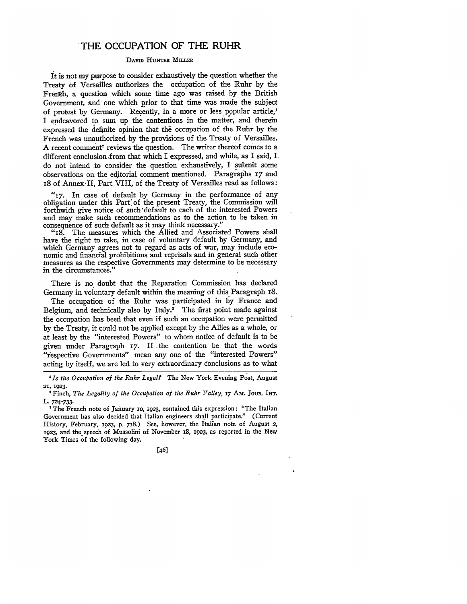## THE **OCCUPATION** OF THE RUHR

## DAVID HUNTER MILLER

It is not my purpose to consider exhaustively the question whether the Treaty of Versailles authorizes the occupation of the Ruhr by the Frenfh, a question which some time ago was raised by the British Government, and one which prior to that time was made the subject of protest by Germany. Recently, in a more or less popular article,<sup>1</sup> I endeavored to sum up the contentions in the matter, and therein expressed the definite opinion that the occupation of the Ruhr by the French was unauthorized by the provisions of the Treaty of Versailles. A recent comment<sup>2</sup> reviews the question. The writer thereof comes to a different conclusion from that which I expressed, and while, as I said, I. do not intend to consider the question exhaustively, I submit some observations on the editorial comment mentioned. Paragraphs 17 and <sup>18</sup>of Annex-II, Part VIII, of the Treaty of Versailles read as follows:

**"17.** In case of default by Germany in the performance of any obligation under this Part: of the present Treaty, the Commission will forthwith give notice of such'default to each of the interested Powers and may make such recommendations as to the action to be taken in consequence of such default as it may think necessary."

"18. The measures which the Allied and Associated Powers shall have the right to take, in case of voluntary default by Germany, and which Germany agrees not to regard as acts of war, may include economic and financial prohibitions and reprisals and in general such other measures as the respective Governments may determine to be necessary in the circumstances.'

There is no doubt that the Reparation Commission has declared Germany in voluntary default within the meaning of this Paragraph 18.

The occupation of the Ruhr was participated in by France and Belgium, and technically also by Italy.<sup>3</sup> The first point made against the occupation has been that even if such an occupation were permitted by the Treaty, it could not-be applied except by the Allies as a whole, or at least by the "interested Powers" to whom notice of default is to be given under Paragraph 17. If -the contention be that the words "respective Governments" mean any one of the "interested Powers" acting by itself, we are led to very extraordinary conclusions as to what

 $[46]$ 

*<sup>&#</sup>x27;Is the Occupation of the Ruhr Legal?* The New York Evening Post, August **21,** 1923.

<sup>&#</sup>x27;Finch, *The Legality of the Occupation of the Ruhr Valley, 17* Am. Joua. INT. L. **724-733.**

<sup>&</sup>lt;sup>3</sup> The French note of January 10, 1923, contained this expression: "The Italian Government has also decided that Italian engineers shall participate." (Current History, February, **1923,** p. 718.) See, however, the Italian note of August *2,* 1923, and the speech of Mussolini of November 18, **1923,** as reported in the New York Times of the following day.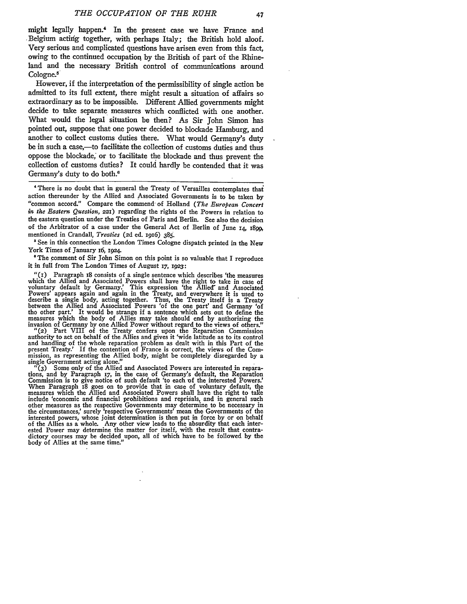might legally happen.' In the present case we have France and -Belgium actirig together, with perhaps Italy; the British hold aloof. Very serious and complicated questions have arisen even from this fact, owing to the continued occupation **by** the British of part of the Rhineland and the necessary British control of communications around Cologne.<sup>5</sup>

However, if the interpretation of the permissibility of single action be admitted to its full extent, there might result a situation of affairs so extraordinary as to be impossible. Different Allied governments might decide to take separate measures which conflicted with one another. What would the legal situation be then? As Sir John Simon has pointed out, suppose that one power decided to blockade Hamburg, and another to collect customs duties there. What would Germany's duty be in such a case,-to facilitate the collection of customs duties and thus oppose the blockade, or to facilitate the blockade and thus prevent the collection of customs duties? It could hardly be contended that it was Germany's duty to do both.6

**"** There is no doubt that in general the Treaty of Versailles contemplates thai action thereunder by the Allied and Associated Governments is to be taken by "common accord." Compare the commend of Holland *(The European Concert in the Eastern Question,* 221) regarding the rights of the Powers in relation to the eastern question under the Treaties of Paris and Berlin. See also the decision of the Arbitrator of a case under the General Act of Berlin of June **14,** 189%, mentioned in Crandall, *Treaties* (2d ed. 1916) **385.**

'See in this connection the London Times Cologne dispatch printed in the New York Times of January 16, **1924.**

'The comment of Sir John Simon on this point is so valuable that I reproduce it in full from The London Times of August 17, 1923:

"(1) Paragraph 18 consists of a single sentence which describes 'the measures<br>which the Allied and Associated Powers shall have the right to take in case of<br>voluntary default by Germany.' This expression 'the Allied' and A Powers' appears again and again in the Treaty, and everywhere it is used to describe a single body, acting together. Thus, the Treaty itself is a Treaty<br>between the Allied and Associated Powers 'of the one part' and German tho other part.' It would be strange if a sentence which sets out to define the measures which the body of Allies may take should end **by** authorizing the invasion of Germany **by** one Allied Power without regard to the views of others." "(2) Part VIII of the Treaty confers upon the Reparation Commission

authority to act on behalf of the Allies and gives it 'wide latitude as to its control and handling of the whole reparation problem as dealt with in this Part of the present Treaty.' If the contention of France is correct, the views of the Commission, as representing the Allied body, might be completely disregarded **by** <sup>a</sup> single Government acting alone." "(3) Some only of the Allied and Associated Powers are interested in repara-

tions, and by Paragraph 17, in the case of Germanys default, the Reparation Commission is to give notice of such default 'to each -f the interested Powers.' When Paragraph 18 goes on to provide that in case of voluntary default, the measures which the Allied and Associated Powers shall have the right to take include 'economic and financial prohibitions and reprisals, and in general such other measures as the respective Governments may determine to be necessary in the circumstances,' surely 'respective Governments' mean the Governments of the interested powers, whose joint determination is then put in force **by** or on behalf of the Allies as a whole. Any other view leads to the absurdity that each inter-ested Power may determine the matter for itself, with the result that contradictory courses may be decided upon, all of which have to be followed **by** the body of Allies at the same time."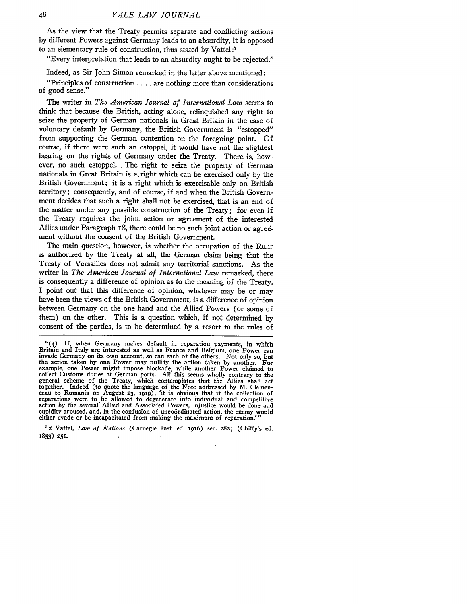As the view that the Treaty permits separate and conflicting actions by different Powers against Germany leads to an absurdity, it is opposed to an elementary rule of construction, thus stated by Vattel **:7**

"Every interpretation that leads to an absurdity ought to be rejected."

Indeed, as Sir John Simon remarked in the letter above mentioned:

"Principles of construction. . **.** . are nothing more than considerations of good sense."

The writer in *The American Journal of International Law* seems to think that because the British, acting alone, relinquished any right to seize the property of German nationals in Great Britain in the case of voluntary default by Germany, the British Government is "estopped" from supporting the German contention on the foregoing point. Of course, if there were such an estoppel, it would have not the slightest bearing on the rights of Germany under the Treaty. There is, however, no such estoppel. The right to seize the property of German nationals in Great Britain is a.right which can be exercised only by the British Government; it is a right which is exercisable only on British territory; consequently, and of course, if and when the British Government decides that such a right shall not be exercised, that is an end of the matter under any possible construction of the Treaty; for even if the Treaty requires the joint action or agreement of the interested Allies under Paragraph 18, there could be no such joint action or agreement without the consent of the British Government.

The main question, however, is whether the occupation of the Ruhr is authorized by the Treaty at all, the German claim being that the Treaty of Versailles does not admit any territorial sanctions. As the writer in *The American Journal of International Law* remarked, there is consequently a difference of opinion as to the meaning of the Treaty. I point out that this difference of opinion, whatever may be or may have been the views of the British Government, is a difference of opinion between Germany on the one hand and the Allied Powers (or some of them) on the other. This is a question which, if not determined by consent of the parties, is to be determined by a resort to the rules of

**':2** Vattel, *Law of Nations* (Carnegie Inst. ed. **1916)** sec. **282;** (Chitty's ed. 1853) **251.**

<sup>&</sup>quot;(4) If, when Germany makes default in reparation payments, in which Britain and Italy are interested as well as France and Belgium, one Power can invade Germany on its own account, so can each of the others. Not only so, but the action taken by one Power may nullify the action taken by another. For<br>example, one Power might impose blockade, while another Power claimed to<br>collect Customs duties at German ports. All this seems wholly contrary to general scheme of the Treaty, which contemplates that the Allies shall act together. Indeed (to quote the language of the Note addressed by M. Clemen- ceau to Rumania on August **23, i919),** 'it is obvious that if the collection of reparations were to be allowed to degenerate into individual and competitive action by the several Allied and Associated Powers, injustice would be done and cupidity aroused, and, in the confusion of uncoördinated action, the enemy would either evade or be incapacitated from making the maximum of reparation.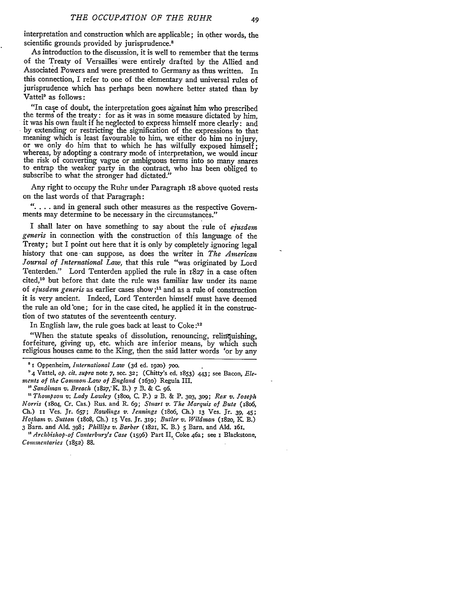interpretation and construction which are applicable; in other words, the scientific grounds provided **by** jurisprudence.8

As introduction to the discussion, it is well to remember that the terms of the Treaty of Versailles were entirely drafted **by** the Allied and Associated Powers and were presented to Germany as thus written. In this connection, I refer to one of the elementary and universal rules of jurisprudence which has perhaps been nowhere better stated than **by** Vattel<sup>9</sup> as follows:

"In case of doubt, the interpretation goes against him who prescribed the terms of the treaty: for as it was in some measure dictated by him, it was his own fault if he neglected to express himself more clearly: and by extending or restricting the signification of the expressions to that meaning which is least favourable to him, we either do him no injury, or we only do him that to which he has wilfully exposed himself; whereas, by adopting a contrary mode of interpretation, we would incur the risk of converting vague or ambiguous terms into so many snares to entrap the weaker party in the contract, who has been obliged to subscribe to what the stronger had dictated."

Any right to occupy the Ruhr under Paragraph 18 above quoted rests on the last words of that Paragraph:

".... and in general such other measures as the respective Governments may determine to be necessary in the circumstances."

I shall later on have something to say about the rule of *ejusdem generis* in connection with the construction of this language of the Treaty; but I point out here that it is only by completely ignoring legal history that one can suppose, as does the writer in *The American Journal of International Law,* that this rule "was originated by Lord Tenterden." Lord Tenterden applied the rule in 1827 in a case often cited,10 but before that date the rule was familiar law under its name of *ejusdern generis* as earlier cases show **;"1** and as a rule of construction it is very ancient. Indeed, Lord Tenterden himself must have deemed the rule an old one; for in the case cited, he applied it in the construction of two statutes of the seventeenth century.

In English law, the rule goes back at least to Coke **:12**

"When the statute speaks of dissolution, renouncing, relinfquishing, forfeiture, giving up, etc. which are inferior means, by which such religious houses came to the King, then the said latter words 'or by any

*°Sandiman v. Breach* **(I827,'K.** B.) **7** B. & **C. 96.**

*"1 Thompson v. Lady Lawley* (1800, **C.** P.) **2** B. & P. **303, 309;** *Rex v. Joseph Norris* (x8o4, Cr. Gas.) Rus. and R. *69; Stuart v. The Marquis of Bute* (i8o6, **Ch.) Ii** Ves. Jr. **657;** *Rawlings v. Jennings* (i8o6, **Ch.) 13** Ves. Jr. 39, 45; *Hotham v. Sutton* **(i8o8, Ch.) i5** Ves. Jr. **319;** *Butler v. Wildman* **(i82O, K.** B.) 3 Barn, and **Ald. 398;** *Phillips v. Barber* (1821, K. B.) **5** Barn. and **Ald. x6r.**

*" Archbishop.of Canterbury's Case* (I596) Part **II,** Coke 46a; see i Blackstone, *Commentaries* (1852) **88.**

<sup>&#</sup>x27; 1 Oppenheim, *International Law* (3d ed. **1920) 700.**

<sup>°4</sup> Vattel, *op. cit. supra* note 7, sec. **32;** (Chitty's **ed. 1853)** 443; see Bacon, *Elements of the Common Law of England* (i63o) Regula IIl. *<sup>1</sup>*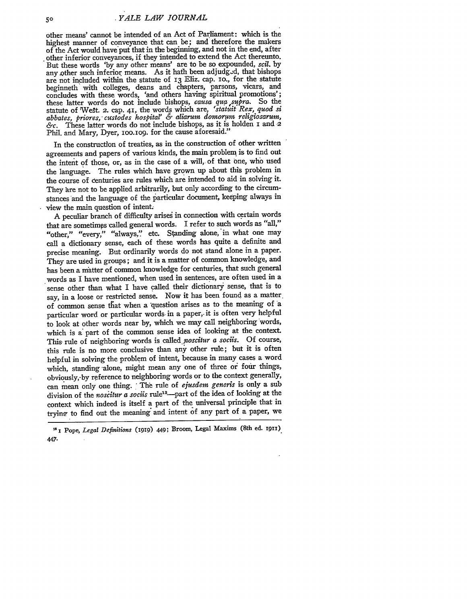other means' cannot be intended of an Act of Parliament: which is the highest manner of conveyance that can be; and therefore the makers of the Act would have'put that in the beginning, and not in the end, after other inferior conveyances, if they intended to extend the Act thereunto. But these words 'by any other means' are to be so expounded, *scil.* by any other such inferior means. As it hath been adjudged, that bishops are not included within the statute of **13** Eliz. cap. 1o., for the statute beginneth with colleges, deans and chapters, parsons, vicars, and concludes with these words, 'and others having spiritual promotions'; these latter words do not include bishops, *causa* qua supra. So the statute of WeAt. **2.** cap. **41,** the words which are, *statuit Rex, quod si abbates, priores,* **-** *custodes hospital' & aliarum domorpm religiosarum, &c.* These latter words do not include bishops, as it is holden i and 2 Phil. and Mary, Dyer, ioo.io9. for the cause aforesaid."

In the construction of treaties, as in the construction of other written agreements and papers of various kinds, the main problem is to find out the intent of those, or, as in the case of a will, of that one, who used the language. The rules which have grown up about this problem in the course of centuries are rules which are intended to aid in solving it. They are not to be applied arbitrarily, but only according to the circumstances and the language of the particular document, keeping always in view the main question of intent.

A peculiar branch of difficulty arises in connection with certain words that are sometimes called general words. I refer to such words as "all," "other," "every," "always," etc. Standing alone, in what one may call a dictionary sense, each of these words has quite a definite and precise meaning. But ordinarily words do not stand alone in a paper. They are used in groups; and it is a matter of common knowledge, and has been a matter of common knowledge for centuries, that such general words as I have mentioned, when used in sentences, are often used in a sense other than what I have called their dictionary sense, that is to say, in a loose or restricted sense. Now it has been found as a matter of common sense that when a question arises as to the meaning of a particular word or particular words in a paper, it is often very helpful to look at other words near by, which we may call neighboring words, which is a part of the common sense idea of looking at the context. This. rule of neighboring words is *called noscitur a sociis.* Of course, this rule is no more conclusive than 4ny other rule; but it is often helpful in solving the problem of intent, because in many cases a word which, standing alone, might mean any one of three or four things, obviously, by reference to neighboring words or to the context generally, can mean only one thing. The rule of *ejusdem generis* is only a sub division of the *noscitur a sociis* rule<sup>18</sup>-part of the idea of looking at the context which indeed is itself a part of the universal principle that in trying to find out the meaning and intent of any part of a paper, we

**s'i** Pope, *Legal Definitions* **(i919)** 449; Broom, Legal Maxims (8th ed. 1911) 447.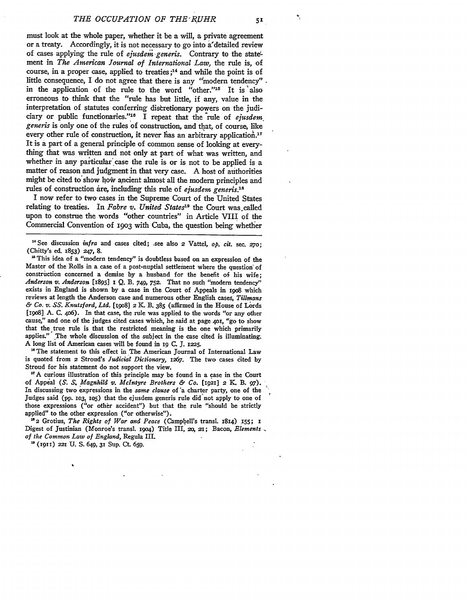must look at the whole paper, whether it be a will, a private agreement or a treaty. Accordingly, it is not necessary to go into a'detailed review of cases applying the rule of *ejusdem* generis. Contrary to the statement in *The American Journal of International Law,* the rule is, of course, in a proper case, applied to treaties;<sup>14</sup> and while the point is of little consequence, I do not agree that there is any "modern tendency". in the application of the rule to the word "other."<sup>15</sup> It is also erroneous to think that the "rule has but little, if any, value in the interpretation of statutes conferring discretionary powers on the judiciary or public functionaries."<sup>16</sup> I repeat that the rule of *ejusdem generis* is only one of the rules of construction, and that, of course, like every other rule of construction, it never has an arbitrary application.<sup>17</sup> It is a part of a general principle of common sense of looking at everything that was written and not only at part of what was written, and whether in any particular case the rule is or is not to be applied is a matter of reason and judgment in that very case. A host of authorities might be cited to show how ancient almost all the modern principles and rules of construction ire, including this rule of *ejusdem generis.'8*

I now refer to two cases in the Supreme Court of the United States relating to treaties. In *Fabre v. United States*<sup>19</sup> the Court was called upon to construe the words "other countries" in Article VIII of the Commercial Convention of **1903** with Cuba, the question being whetler

<sup>16</sup> The statement to this effect in The American Journal of International Law is quoted from *2* Stroud's *Judicial Dictionary,* 1267. The two cases dited **by** Stroud for his statement do not support the view.

**"A** curious illustration of this principle may be found in a case in the Court of Appdal *(S. S. Magnhild v. McIntyre Brothers &* **Co.** [1921] 2 K B. **97).** In discussing two expressions in the *same clause* of 'a charter party, one of the Judges said (pp. 103, 105) that the ejusdem generis rule did not apply to one of those expressions ("or other accident") but that the rule "should be strictly applied" to the other expression ("or otherwise").

**<sup>12</sup>**Grotius, *The Rights of War and Peace* (Campbell's transl. **1814) 155; 1** Digest of Justinian (Monroe's transl. 1904) Title III, 20, 21; Bacon, *Elements of the Common Law of England,* Regula III.

(1911) **22I U. S.** 649, 31 Sup. Ct. **659.**

 $5<sup>T</sup>$ 

<sup>&</sup>lt;sup>14</sup> See discussion *infra* and cases cited; .see also 2 Vattel, *op. cit.* sec. 270; (Chitty's ed. 1853) 247, **8.**

<sup>&</sup>lt;sup>15</sup> This idea of a "modern tendency" is doubtless based on an expression of the Master of the Rolls in a case of a post-nuptial settlement where the question' of construction concerned a demise **by** a husband for the benefit of his wife; *Anderson v. Anderson* [1895] 1 **Q.** B. **749, 752.** That no such "modern tendency" exists in England is shown by a case in the Court of Appeals in 1908 which reviews at length the Anderson case and numerous other English cases, *Tillmans & Co. v. SS. Knutsford, Ltd.* [xgo8] 2 K. B. **385** (affirmed in the House of Lords [i9o8] A. C. 406). In that case, the rule was applied to the words "or any other cause," and one of the judges cited cases which, he said at page **401,** "go to show that the true rule is that the restricted meaning is the one which primarily applies." The whole discussion of the subject in the case cited is illuminating. A long list of American cases will be found in ig **C. J.** i225.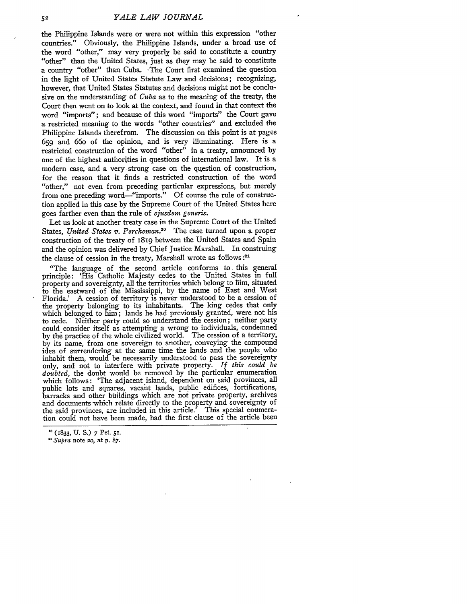the Philippine Islands were or were not within this expression "other countries." Obviously, the Philippine Islands, under a broad use of the word "other," may very properly be said to constitute a country "other" than the United States, just as they may be said to constitute a country "other" than Cuba. -The Court first examined the question in the light of United States Statute Law and decisions; recognizing, however, that United States Statutes and decisions might not be conclusive on the understanding of *Cuba* as to the meaning of the treaty, the Court then went on to look at the context, and found in that context the word "imports"; and because of this word "imports" the Court gave a restricted meaning to the words "other countries" and excluded the Philippine Islands therefrom. The discussion on this point is at pages 659 and 66o of the opinion, and is very illuminating. Here is a restricted construction of the word "other" in a treaty, announced by one of the highest authorities in questions of international law. It is a modern case, and a very strong case on the question of construction, for the reason that it finds a restricted construction of the word "other," not even from preceding particular expressions, but merely from one preceding word—"imports." Of course the rule of construction applied in this case by the Supreme Court of the United States here goes farther even than the rule of *ejusdem generis.*

Let us look at another treaty case in the Supreme Court of the United States, *United States v. Percheman.20* The case turned upon a proper construction of the treaty of **1819** between the United States and Spain and the opinion was delivered **by** Chief Justice Marshall. In construing the clause of cession in the treaty, Marshall wrote as **follows :21**

"The language of the second article conforms to. this general principle: 'His Catholic Majesty cedes to the United States in full property and sovereignty, all the territories which belong to him, situated to the eastward of the Mississippi, **by** the name of East and West Florida.' A cession of territory is never understood to be a cession of the property belonging to its inhabitants. The king cedes that only which belonged to him; lands he had previously granted, were not his to cede. Neither party could so understand the cession; neither party could consider itself as attempting a wrong to individuals, condemned **by** the practice of the whole civilized world. The cession of a territory, **by** its name, from one sovereign to another, conveying the compound idea of surrendering at the same time the lands and the people who inhabit them, would be necessarily understood to pass the sovereignty only, and not to interfere with private property. *If this could be doubted,* the doubt would be removed **by** the particular enumeration which follows: 'The adjacent island, dependent on said provinces, all public lots and squares, vacant lands, public edifices, fortifications, barracks and other buildings which are not private property, archives and documents which relate directly to the property and sovereignty of the said provinces, are included in this article.' This special enumeration could not have been made, had the first clause of the article been

**so** (1833, **U. S.)** 7 Pet. **51.**

*<sup>&#</sup>x27; Supra* note 2o, at **p. 87.**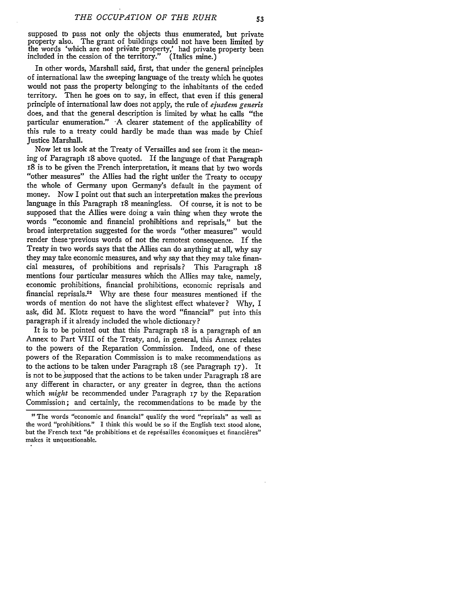supposed tb pass not only the objects thus enumerated, but private property also. The grant of buildings could not have been limited by the words 'which are not private property,' had private property been included in the cession of the territory." (Italics mine.)

In other words, Marshall said, first, that under the general principles of international law the sweeping language of the treaty which he quotes would not pass the property belonging to the inhabitants of the ceded territory. Then he goes on to say, in effect, that even if this general principle of international law does not apply, the rule of *ejusdem* generis does, and that the general description is limited by what he calls "the particular enumeration." A clearer statement of the applicability of this rule to a treaty could hardly be made than was made by Chief Justice Marshall.

Now let us look at the Treaty of Versailles and see from it the meaning of Paragraph i8 above quoted. If the language of that Paragraph **is** is to be given the French interpretation, it means that by two words "other measures" the Allies had the right under the Treaty to occupy the whole of Germany upon Germany's default in the payment of money. Now I point out that such an interpretation makes the previous language in this Paragraph i8 meaningless. Of course, it is not to be supposed that the Allies were doing a vain thing when they wrote the words "economic and financial prohibitions and reprisals," but the broad interpretation suggested for the words "other measures" would render these-previous words of not the remotest consequence. If the Treaty in two words says that the Allies can do anything at all, why say they may take economic measures, and why say that they may take financial measures, of prohibitions and reprisals? This Paragraph is mentions four particular measures which the Allies may take, namely, economic prohibitions, financial prohibitions, economic reprisals and financial reprisals. 22 Why are these four measures mentioned if the words of mention do not have the slightest effect whatever? Why, I ask, did M. Klotz request to have the word "financial" put into this paragraph if it already included the whole dictionary?

It is to be pointed out that this Paragraph 18 is a paragraph of an Annex to Part VIII of the Treaty, and, in general, this Annex relates to the powers of the Reparation Commission. Indeed, one of these powers of the Reparation Commission is to make recommendations as to the actions to be taken under Paragraph is (see Paragraph **17).** It is not to be supposed that the actions to be taken under Paragraph 18 are any different in character, or any greater in degree, than the actions which *might* be recommended under Paragraph 17 by the Reparation Commission; and certainly, the recommendations to be made by the

<sup>&</sup>lt;sup>22</sup> The words "economic and financial" qualify the word "reprisals" as well as the word "prohibitions." I think this would be so if the English text stood alone, but the French text "de prohibitions et de représailles économiques et financières" makes it unquestionable.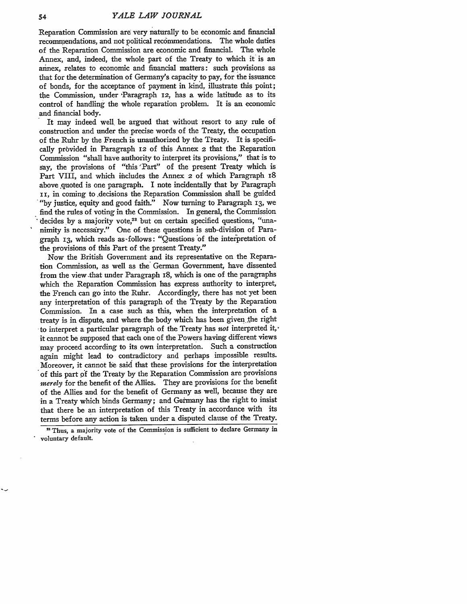Reparation Commission are very naturally to be economic and financial recommendations, and not political recommendations. The whole duties of the Reparation Commission are economic and financial. The whole Annex, and, indeed, the whole part of the Treaty to which it is an annex, relates to economic and financial matters: such provisions as that for the determination of Germany's capacity to pay, for the issuance of bonds, for the acceptance of payment in kind, illustrate this point; the Commission, under -Paragraph **i2,** has a wide latitude as to its control of handling the whole reparation problem. It is an economic and financial body.

It may indeed well. be argued that without resort to any rule of construction and under the precise words of the Treaty, the occupation of the Ruhr by the French is unauthorized by the Treaty. It is specifically prbvided in Paragraph **12** of this Annex **2** that the Reparation Commission "shall have authority to interpret its provisions," that is to say, the provisions of "this 'Part" of the present Treaty which is Part VIII, and which ificludes the Annex **2** of which Paragraph i8 above quoted is one paragraph. I note incidentally that by Paragraph II, in coming to .decisions the Reparation Commission shall be guided "by justice, equity and good faith." Now turning to Paragraph 13, we find the rules of voting in the Commission. In general, the Commission decides by a majority vote,<sup>23</sup> but on certain specified questions, "unanimity is necessary." One of these questions is sub-division of Paragraph **13,** which reads as-follows: "Questions of the interpretation of the provisions of this Part of the present Treaty."

Now the British Government and its representative on the Reparation Commission, as well as the German Government, have dissented from the view .that under Paragraph i8, which is one of the paragraphs which the Reparation Commission has express authority to interpret, the French can go into the Ruhr. Accordingly, there has not yet been any interpretation of this paragraph **of** the Treaty by the Reparation Commission. In a case such as this, when the interpretation of a treaty is in dispute, and where the body which has been given the right 'to interpret a particular paragraph of the Treaty has *not* interpreted it, it cannot be supposed that each one of the Powers having different views may proceed according to its own interpretation. Such a construction again might lead to contradictory and perhaps impossible results. Moreover, it cannot be said that these provisions for the interpretation of this part **.f** the Treaty by the Reparation Commission are provisions *merely* for the benefit of the Allies. They are provisions for the benefit of the Allies and for the benefit of Germany as well, because they are in a Treaty which binds Germany; and Germany has the right to insist that there be an interpretation of this Treaty in accordance with its terms before any action is taken under a disputed clause of the Treaty.

<sup>13</sup> Thus, a majority vote of the Commission is sufficient to declare Germany in voluntary default.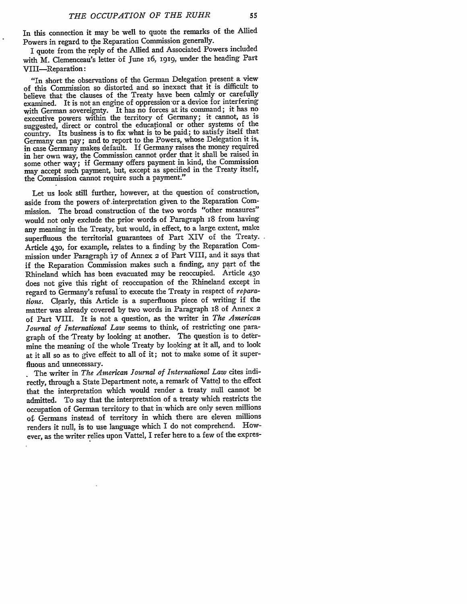In this connection it may be well to quote the remarks of the Allied Powers in regard to the Reparation Commission generally.

I quote from the reply of the Allied and Associated Powers included with M. Clemenceau's letter bf June i6, **1919,** under the heading Part VIII-Reparation:

"In short the observations of the German Delegation present a view of this Commission so distorted and so inexact that it is difficult to believe that the clauses of the Treaty have been calmly or carefully examined. It is not an engine of oppression or a device for interfering with German sovereignty. It has no forces at its command; it has no executive powers within the territory of Germany; it cannot, as is suggested, direct or control the educational or other systems of the country. Its business is to fix what is to be paid; to satisfy itself that Germany can pay; and to report to the Powers, whose Delegation it is, in case Germany makes default. If Germany raises the money required in her own way, the Commission cannot order that it shall be raised in some other way; if Germany offers payment in kind, the Commission may accept such payment, but, except as specified in the Treaty itself, the Commission cannot require such a payment."

Let us look still further, however, at the question of construction, aside from the powers of interpretation given to the Reparation Commission. The broad construction of the two words "other measures" would not only exclude the prior words of Paragraph 18 from having any meaning in the Treaty, but would, in effect, to a large extent, make superfluous the territorial guarantees of Part XIV of the Treaty. Article 430, for example, relates to a finding by the Reparation Commission under Paragraph *7* of Annex 2 of Part VIII, and it says that if the Reparation Commission makes such a finding, any part of the Rhineland which has been evacuated may be reoccupied. Article **430** does not give this right of reoccupation of the Rhineland except in regard to Germany's refusal to execute the Treaty in respect of *reparations.* Clearly, this Article is a superfluous piece of writing if the matter was already covered by two words in Paragraph 18 of Annex **2** of Part VIII. It is not a question, as the writer in *The American Journal of International Law* seems to think, of restricting one paragraph of the Treaty by looking at another. The question is to detrmine the meaning of the whole Treaty by looking at it all, and to look at it all so as to give effect to all of it; not to make some of it superfluous and unnecessary.

The writer in *The American Journal of International Law* cites indirectly, through a State Department note, a remark of Vattel to the effect that the interpretation which would render a treaty null cannot be admitted. To say that the interpretation of a treaty which restricts the occupation of German territory to that in-which are only seven millions of- Germans instead of territory in which there are eleven millions renders it null, is to use language which I do not comprehend. However, as the writer relies upon Vattel, I refer here to a few of the expres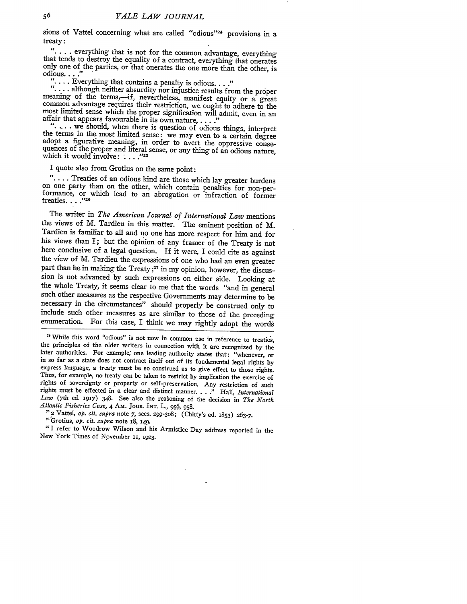sions of Vattel concerning what are called "odious"<sup>24</sup> provisions in a treaty:

" . . . everything that is not for the common advantage, everything that tends to destroy the equality of a contract, everything that onerates only one of the parties, or that onerates the one more than the other, is odious...

 $\cdots$  **Everything that contains a penalty is odious.**..."

".... although neither absurdity nor injustice results from the proper meaning of the terms,—if, nevertheless, manifest equity or a great common advantage requires their restriction, we ought to adhere to the most limited sense which the proper signification will admit, even in an affair that appears favourable in its own nature,  $\dots$ ."<br>" $\dots$  we should, when there is question of odious things, interpret

the terms in the most limited sense: we may even to a certain degree adopt a figurative meaning, in order to avert the oppressive consequences of the proper and literal sense, or any thing of an odious nature, which it would involve: **...."25**

I quote also from Grotius on the same point:

**"....** Treaties of an odious kind are those which lay greater burdens on one party than on the other, which contain penalties for non-per- formance, or which lead to an abrogation or infraction of former treaties **.... "26**

The writer in *The American Journal of International Law* mentions the views of M. Tardieu in this matter. The eminent position of M. Tardieu is familiar to all and no one has more respect for him and for his views than I; but the opinion of any framer of the Treaty is not here conclusive of a legal question. If it were, I could cite as against the view of M. Tardieu the expressions of one who had an even greater part than he in making the Treaty;<sup>27</sup> in my opinion, however, the discussion is not advanced by such expressions on either side. Looking at the whole Treaty, it seems clear to me that the words "and in general such other measures as the respective Governments may determine to be necessary in the circumstances" should properly be construed only to include such other measures as are similar to those of the preceding enumeration. For this case, I think we may rightly adopt the words

**"** While this word "odious" is not now in common use in reference to treaties, the principles of the older writers in connection with it are recognized by the later authorities. For example, one leading authority states that: "whenever, or in so far as a state does not contract itself out of its fund express language, a treaty must be so construed as to give effect to those rights. Thus, for example, no treaty can be taken to restrict **by** implication the exercise of rights of sovereignty or property or self-preservation. Any restriction of such rights must be effected in a clear and distinct **manner.....** Hall, *International Law* (7th **ed. 1917)** 348. See also the reasoning of the decision in *The North*

<sup>25</sup> 2 Vattel, op. cit. supra note 7, secs. 299-308; (Chitty's ed. 1853) 263-7.<br><sup>26</sup> Grotius, op. cit. supra note 18, 149.

**'** I refer to Woodrow Wilson and his Armistice Day address reported in the New York Times of November *i,* 1923.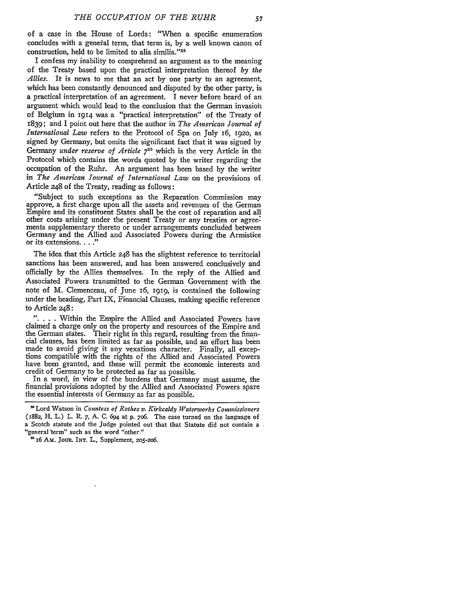of a case in the House of Lords: "When a specific enumeration concludes with a geneial term, that term *is,* by a well known canon of construction, held to be limited to alia similia."<sup>28</sup>

I confess my inability to comprehend an argument as to the meaning of the Treaty based upon the practical interpretation thereof *by the Allies.* It is news to me that an act by one party to an agreement, which has been constantly denounced and disputed by the other party, is a practical interpretation of an agreement. I never before heard of an argument which would lead to the conclusion that the German invasioh of Belgium in **1914** was a "practical interpretation" of the Treaty of 1839; and I point out here that the author in *The American Journal of International Law* refers to the Protocol of Spa on July 16, **1920,** as signed by Germany, but omits the significant fact that it was signed by Germany *under reserve of Article 720* which is the very Article in the Protocol which contains the words quoted by the writer regarding the occupation of the Ruhr. An argument has been based by the writer in *The American Journal of International Law* on the provisions of Article 248 of the Treaty, reading as follows:

"Subject to such exceptions as the Reparation Commission may approve, a first charge upon all the assets and revenues of the German Empire and its constituent States shall be the cost of reparation and all other costs arising under the present Treaty or any treaties or agreements supplementary thereto or under arrangements concluded between Germany and the Allied and Associated Powers during the Armistice or its extensions **... "**

The idea that this Article 248 has the slightest reference to territorial sanctions has been answered, and has been answered conclusively and officially by the Allies themselves. In the reply of the Allied and Associated Powers transmitted to the German Government with the note of M. Clemenceau, of June 16, **I919,** is contained the following under the heading, Part IX, Financial Clauses, making specific reference to Article 248:

*". ...* Within the Empire the Allied and Associated Powers have claimed a charge only on the property and resources of the Empire and the German states. Their right in this regard, resulting from the financial clauses, has been limited as far as possible, and an effort has been made to avoid giving it any vexatious character. Finally, all exceptions compatible with the rights of the Allied and Associated Powers have been granted, and these will permit the economic interests and credit of Germany to be protected as far as possible.

In a word, in view of the burdens that Germany must assume, the financial provisions adopted by the Allied and Associated Powers spare the essential interests of Germany as far as possible.

<sup>&</sup>quot;Lord Watson in *Countess of Rothes v. Kirkcaldy Waterworks Commissioners* (1882, H. L.) L. R. *7,* A. C. *694* at p. 706. The case turned on the language of a Scotch statute and the Judge pointed out that that Statute did not contain a "general 'term" such as the word "other."

<sup>&</sup>lt;sup>29</sup> 16 AM. JOUR. INT. L., Supplement, 205-206.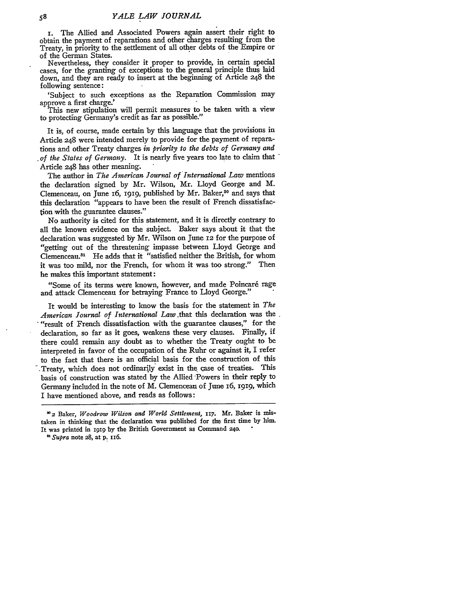i. The Allied and Associated Powers again assert their right to obtain the payment of reparations and other charges resulting from the Treaty, in priority to the settlement of all other debts of the Empire or of the German States.

Nevertheless, they consider it proper to provide, in certain special cases, for the granting of exceptions to the general principle thus laid down, and they are ready to insert at the beginning of Article 248 the following sentence:

'Subject to such exceptions as the Reparation Commission may approve a first charge.'

This new stipulation will permit measures to be taken with a view to protecting Germany's credit as far as possible."

It is, of course, made certain by this language that the provisions in Article 248 were intended merely to provide for the payment of reparations and other Treaty charges *in priority to the debts of Germany and of the States of Germany.* It is nearly five years too late to claim that Article 248 has other meaning.

The author in *The American Journal of International Law* mentions the declaration signed by Mr. Wilson, Mr. Lloyd George and M. Clemenceau, on June 16, 1919, published by Mr. Baker,<sup>30</sup> and says that this declaration "appears to have been the result of French dissatisfaction with the guarantee clauses."

No authority is cited for this statement, and it is directly contrary to all the known evidence on the subject. Baker says about it that the declaration was suggested **by** Mr. Wilson on June 12 for the purpose of "getting out of the threatening impasse between Lloyd George and Clemenceau.31 He adds that it "satisfied neither the British, for whom it was too mild, nor the French, for whom it was too strong." Then he makes this important statement:

"Some of its terms were known, however, and made Poincaré rage and attack Clemenceau for betraying France to Lloyd George."

It would be interesting to know the basis for the statement in *The American Journal of International Law* .that this declaration was the "result of French dissatisfaction with the guarantee clauses," for the declaration, so far as it goes, weakens these very clauses. Finally, if there could remain any doubt as to whether the Treaty ought to be interpreted in favor of the occupation of the Ruhr or against it, I refer to the fact that there is an official basis for the construction of this .Treaty, which does not ordinarily exist in the rase of treaties. This basis of construction was stated by the Allied Powers in their reply to Germany included in the note of M. Clemenceatt of June 16, **i919,** which I have mentioned above, and reads as follows:

*<sup>302</sup>* Baker, *Woodrow Wilson and World Settlement,* **117.** Mr. Baker is mistaken in thinking that the declaration was published for the first time by him. It was printed in **1919** by the British Government as Command 24D.

*I Supra* note 28, at p. i16.